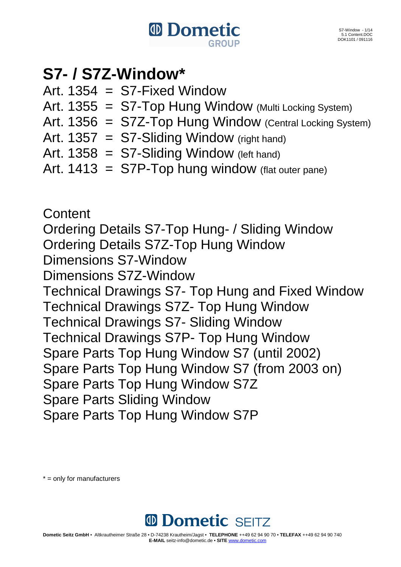

### **S7- / S7Z-Window\***

- Art.  $1354 = S7$ -Fixed Window
- Art.  $1355 = ST-Top Hung Window (Multi Locking System)$
- Art. 1356 = S7Z-Top Hung Window (Central Locking System)
- Art. 1357 = S7-Sliding Window (right hand)
- Art.  $1358 = ST-Sliding Window$  (left hand)
- Art.  $1413 =$  S7P-Top hung window (flat outer pane)

**Content** Ordering Details S7-Top Hung- / Sliding Window Ordering Details S7Z-Top Hung Window Dimensions S7-Window Dimensions S7Z-Window Technical Drawings S7- Top Hung and Fixed Window Technical Drawings S7Z- Top Hung Window Technical Drawings S7- Sliding Window Technical Drawings S7P- Top Hung Window Spare Parts Top Hung Window S7 (until 2002) Spare Parts Top Hung Window S7 (from 2003 on) Spare Parts Top Hung Window S7Z Spare Parts Sliding Window Spare Parts Top Hung Window S7P

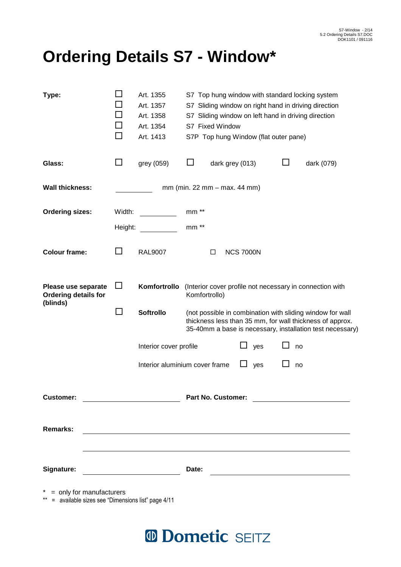## **Ordering Details S7 - Window\***

| Type:                                                                                  |                   | Art. 1355<br>Art. 1357<br>Art. 1358<br>Art. 1354<br>Art. 1413 | S7 Fixed Window                |                 |                  | S7P Top hung Window (flat outer pane) |         | S7 Top hung window with standard locking system<br>S7 Sliding window on right hand in driving direction<br>S7 Sliding window on left hand in driving direction                     |
|----------------------------------------------------------------------------------------|-------------------|---------------------------------------------------------------|--------------------------------|-----------------|------------------|---------------------------------------|---------|------------------------------------------------------------------------------------------------------------------------------------------------------------------------------------|
| Glass:                                                                                 | ப                 | grey (059)                                                    |                                | dark grey (013) |                  |                                       | $\perp$ | dark (079)                                                                                                                                                                         |
| <b>Wall thickness:</b>                                                                 |                   |                                                               | $mm$ (min. 22 mm – max. 44 mm) |                 |                  |                                       |         |                                                                                                                                                                                    |
| <b>Ordering sizes:</b>                                                                 | Width:<br>Height: |                                                               | $mm**$<br>mm **                |                 |                  |                                       |         |                                                                                                                                                                                    |
| <b>Colour frame:</b>                                                                   | $\perp$           | <b>RAL9007</b>                                                |                                | □               | <b>NCS 7000N</b> |                                       |         |                                                                                                                                                                                    |
| Please use separate<br><b>Ordering details for</b><br>(blinds)                         | $\Box$            | Komfortrollo                                                  | Komfortrollo)                  |                 |                  |                                       |         | (Interior cover profile not necessary in connection with                                                                                                                           |
|                                                                                        | $\Box$            | <b>Softrollo</b>                                              |                                |                 |                  |                                       |         | (not possible in combination with sliding window for wall<br>thickness less than 35 mm, for wall thickness of approx.<br>35-40mm a base is necessary, installation test necessary) |
|                                                                                        |                   | Interior cover profile                                        |                                |                 | ப                | yes                                   |         | no                                                                                                                                                                                 |
|                                                                                        |                   | Interior aluminium cover frame                                |                                |                 | $\Box$           | yes                                   |         | no                                                                                                                                                                                 |
| <b>Customer:</b>                                                                       |                   |                                                               | <b>Part No. Customer:</b>      |                 |                  |                                       |         |                                                                                                                                                                                    |
| <b>Remarks:</b>                                                                        |                   |                                                               |                                |                 |                  |                                       |         |                                                                                                                                                                                    |
| Signature:                                                                             |                   |                                                               | Date:                          |                 |                  |                                       |         | <u> 1989 - Johann Barn, mars ann an t-Amhain Aonaich an t-Aonaich an t-Aonaich ann an t-Aonaich ann an t-Aonaich</u>                                                               |
| = only for manufacturers<br>$***$<br>= available sizes see "Dimensions list" page 4/11 |                   |                                                               |                                |                 |                  |                                       |         |                                                                                                                                                                                    |

## <sup>10</sup> Dometic SEITZ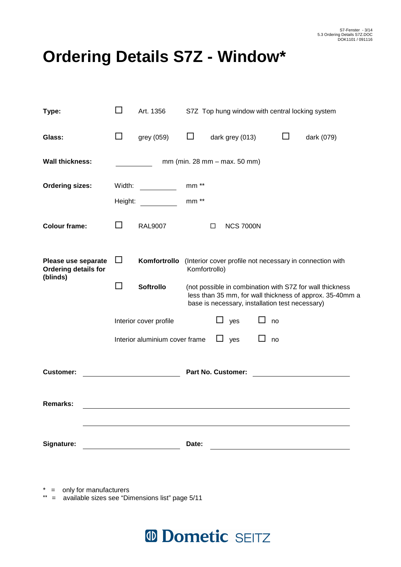# **Ordering Details S7Z - Window\***

| Type:                                                          | ΙI      | Art. 1356                      | S7Z Top hung window with central locking system                                        |        |                                                 |              |    |                                                                                                                      |  |
|----------------------------------------------------------------|---------|--------------------------------|----------------------------------------------------------------------------------------|--------|-------------------------------------------------|--------------|----|----------------------------------------------------------------------------------------------------------------------|--|
| Glass:                                                         | $\Box$  | grey (059)                     | $\Box$                                                                                 |        | dark grey (013)                                 |              | ப  | dark (079)                                                                                                           |  |
| <b>Wall thickness:</b>                                         |         |                                |                                                                                        |        | mm (min. 28 mm - max. 50 mm)                    |              |    |                                                                                                                      |  |
| <b>Ordering sizes:</b>                                         | Width:  |                                | mm **                                                                                  |        |                                                 |              |    |                                                                                                                      |  |
|                                                                | Height: |                                | mm **                                                                                  |        |                                                 |              |    |                                                                                                                      |  |
| <b>Colour frame:</b>                                           | ΙI      | <b>RAL9007</b>                 |                                                                                        | $\Box$ | <b>NCS 7000N</b>                                |              |    |                                                                                                                      |  |
| Please use separate<br><b>Ordering details for</b><br>(blinds) | $\Box$  |                                | Komfortrollo (Interior cover profile not necessary in connection with<br>Komfortrollo) |        |                                                 |              |    |                                                                                                                      |  |
|                                                                | $\Box$  | Softrollo                      |                                                                                        |        | base is necessary, installation test necessary) |              |    | (not possible in combination with S7Z for wall thickness<br>less than 35 mm, for wall thickness of approx. 35-40mm a |  |
|                                                                |         | Interior cover profile         |                                                                                        | ப      | yes                                             | $\mathsf{L}$ | no |                                                                                                                      |  |
|                                                                |         | Interior aluminium cover frame |                                                                                        | ⊔      | yes                                             | ΙI           | no |                                                                                                                      |  |
| <b>Customer:</b>                                               |         |                                |                                                                                        |        | <b>Part No. Customer:</b>                       |              |    |                                                                                                                      |  |
| <b>Remarks:</b>                                                |         |                                |                                                                                        |        |                                                 |              |    |                                                                                                                      |  |
| Signature:                                                     |         |                                | Date:                                                                                  |        | <u> 1989 - Andrea State Barbara, pre</u>        |              |    |                                                                                                                      |  |
|                                                                |         |                                |                                                                                        |        |                                                 |              |    |                                                                                                                      |  |

\* = only for manufacturers

\*\* = available sizes see "Dimensions list" page 5/11

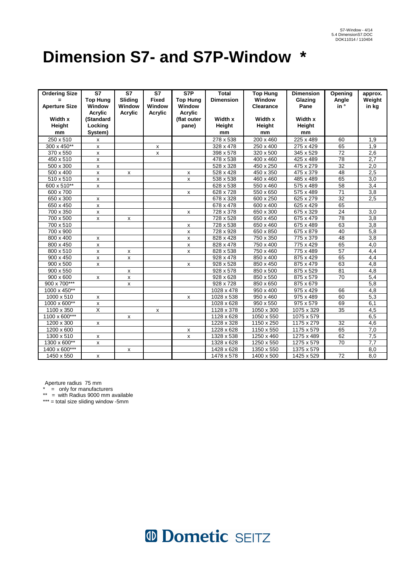## **Dimension S7- and S7P-Window \***

| <b>Ordering Size</b> | <b>S7</b>          | <b>S7</b>                 | S7             | S7P                | <b>Total</b>          | <b>Top Hung</b>       | <b>Dimension</b>  | Opening         | approx.          |
|----------------------|--------------------|---------------------------|----------------|--------------------|-----------------------|-----------------------|-------------------|-----------------|------------------|
| =                    | <b>Top Hung</b>    | Sliding                   | <b>Fixed</b>   | <b>Top Hung</b>    | <b>Dimension</b>      | Window                | Glazing           | Angle           | Weight           |
| <b>Aperture Size</b> | Window             | Window                    | Window         | Window             |                       | <b>Clearance</b>      | Pane              | in <sup>°</sup> | in kg            |
|                      | <b>Acrylic</b>     | <b>Acrylic</b>            | <b>Acrylic</b> | <b>Acrylic</b>     |                       |                       |                   |                 |                  |
| Width x              | (Standard          |                           |                | (flat outer        | Width x               | Width x               | Width x           |                 |                  |
| Height               | Locking            |                           |                | pane)              | Height                | Height                | Height            |                 |                  |
| mm                   | System)            |                           |                |                    | mm                    | mm                    | mm                |                 |                  |
| 250 x 510            | х                  |                           |                |                    | 278 x 538             | 200 x 460             | 225 x 489         | 60              | 1,9              |
| 300 x 450**          | $\mathsf{x}$       |                           | х              |                    | 328 x 478             | 250 x 400             | 275 x 429         | 65              | 1,9              |
| 370 x 550            | x                  |                           | x              |                    | 398 x 578             | $320 \times 500$      | 345 x 529         | $\overline{72}$ | 2,6              |
| 450 x 510            | x                  |                           |                |                    | $\frac{1}{478}$ x 538 | 400 x 460             | 425 x 489         | $\overline{78}$ | 2,7              |
| 500 x 300            | x                  |                           |                |                    | 528 x 328             | 450 x 250             | 475 x 279         | $\overline{32}$ | 2,0              |
| 500 x 400            | x                  | x                         |                | x                  | 528 x 428             | 450 x 350             | 475 x 379         | 48              | 2,5              |
| 510 x 510            | X                  |                           |                | X                  | 538 x 538             | 460 x 460             | 485 x 489         | 65              | 3,0              |
| 600 x 510**          | $\mathsf{x}$       |                           |                |                    | 628 x 538             | 550 x 460             | 575 x 489         | 58              | 3,4              |
| 600 x 700            |                    |                           |                | x                  | 628 x 728             | 550 x 650             | 575 x 489         | 71              | $\overline{3,8}$ |
| 650 x 300            | $\pmb{\mathsf{x}}$ |                           |                |                    | 678 x 328             | 600 x 250             | 625 x 279         | 32              | 2,5              |
| 650 x 450            | $\pmb{\mathsf{x}}$ |                           |                |                    | 678 x 478             | 600 x 400             | 625 x 429         | 65              |                  |
| 700 x 350            | X                  |                           |                | x                  | 728 x 378             | 650 x 300             | 675 x 329         | 24              | 3,0              |
| 700 x 500            | x                  | x                         |                |                    | 728 x 528             | 650 x 450             | 675 x 479         | $\overline{78}$ | $\overline{3,8}$ |
| 700 x 510            |                    |                           |                | x                  | $\frac{1}{728}$ x 538 | 650 x 460             | 675 x 489         | 63              | $\overline{3,8}$ |
| 700 x 900            |                    |                           |                | x                  | 728 x 928             | 650 x 850             | 675 x 879         | $\overline{40}$ | 5,8              |
| 800 x 400            | x                  |                           |                | $\mathsf{x}$       | 828 x 428             | 750 x 350             | 775 x 379         | $\overline{48}$ | 3,8              |
| 800 x 450            | x                  |                           |                | $\pmb{\mathsf{x}}$ | 828 x 478             | 750 x 400             | 775 x 429         | 65              | 4,0              |
| 800 x 510            | $\mathsf{x}$       | x                         |                | $\mathsf{x}$       | 828 x 538             | 750 x 460             | 775 x 489         | $\overline{57}$ | 4,4              |
| 900 x 450            | $\pmb{\chi}$       | $\mathsf{x}$              |                |                    | 928 x 478             | 850 x 400             | 875 x 429         | 65              | 4,4              |
| $900 \times 500$     | X                  |                           |                | $\mathsf{x}$       | 928 x 528             | 850 x 450             | 875 x 479         | 63              | 4,8              |
| $900 \times 550$     |                    | x                         |                |                    | 928 x 578             | 850 x 500             | 875 x 529         | 81              | 4,8              |
| $900 \times 600$     | x                  | x                         |                |                    | 928 x 628             | 850 x 550             | 875 x 579         | 70              | $\overline{5,4}$ |
| 900 x 700***         |                    | $\mathsf{x}$              |                |                    | $\frac{1}{928}$ x 728 | 850 x 650             | 875 x 679         |                 | 5,8              |
| 1000 x 450**         |                    |                           |                |                    | $1028 \times 478$     | $\frac{1}{950}$ x 400 | 975 x 429         | 66              | 4,8              |
| 1000 x 510           | $\mathsf{x}$       |                           |                | $\mathsf{x}$       | 1028 x 538            | 950 x 460             | 975 x 489         | 60              | $\overline{5,3}$ |
| 1000 x 600**         | х                  |                           |                |                    | 1028 x 628            | 950 x 550             | 975 x 579         | 69              | 6,1              |
| 1100 x 350           | X                  |                           | X              |                    | 1128 x 378            | 1050 x 300            | 1075 x 329        | 35              | $\overline{4,5}$ |
| 1100 x 600***        |                    | $\boldsymbol{\mathsf{x}}$ |                |                    | $1128 \times 628$     | 1050 x 550            | 1075 x 579        |                 | 6,5              |
| $1200 \times 300$    | $\mathsf{x}$       |                           |                |                    | 1228 x 328            | 1150 x 250            | 1175 x 279        | $\overline{32}$ | 4,6              |
| 1200 x 600           |                    |                           |                | X                  | 1228 x 628            | $1150 \times 550$     | 1175 x 579        | 65              | 7,0              |
| 1300 x 510           | $\pmb{\mathsf{x}}$ |                           |                | $\pmb{\mathsf{x}}$ | 1328 x 538            | $1250 \times 460$     | $1275 \times 489$ | 62              | 7,5              |
| 1300 x 600**         | $\pmb{\chi}$       |                           |                |                    | 1328 x 628            | 1250 x 550            | 1275 x 579        | $\overline{70}$ | 7,7              |
| 1400 x 600***        |                    | x                         |                |                    | $1428 \times 628$     | 1350 x 550            | $1375 \times 579$ |                 | 8,0              |
| 1450 x 550           | $\mathsf{x}$       |                           |                |                    | 1478 x 578            | 1400 x 500            | 1425 x 529        | $\overline{72}$ | 8,0              |

Aperture radius  $75 \text{ mm}$ <br>Aperture radius  $75 \text{ mm}$ 

\* = only for manufacturers

\*\* = with Radius 9000 mm available

\*\*\* = total size sliding window -5mm

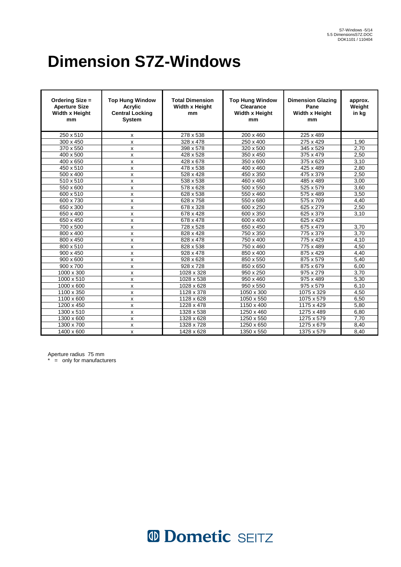# **Dimension S7Z-Windows**

| Ordering Size =<br><b>Aperture Size</b><br>Width x Height<br>mm | <b>Top Hung Window</b><br><b>Acrylic</b><br><b>Central Locking</b><br><b>System</b> | <b>Total Dimension</b><br>Width x Height<br>mm | <b>Top Hung Window</b><br>Clearance<br><b>Width x Height</b><br>mm | <b>Dimension Glazing</b><br>Pane<br>Width x Height<br>mm | approx.<br>Weight<br>in kg |
|-----------------------------------------------------------------|-------------------------------------------------------------------------------------|------------------------------------------------|--------------------------------------------------------------------|----------------------------------------------------------|----------------------------|
| 250 x 510                                                       | x                                                                                   | 278 x 538                                      | 200 x 460                                                          | 225 x 489                                                |                            |
| 300 x 450                                                       | x                                                                                   | 328 x 478                                      | 250 x 400                                                          | 275 x 429                                                | 1,90                       |
| 370 x 550                                                       | x                                                                                   | 398 x 578                                      | 320 x 500                                                          | 345 x 529                                                | 2,70                       |
| 400 x 500                                                       | x                                                                                   | 428 x 528                                      | 350 x 450                                                          | 375 x 479                                                | 2,50                       |
| 400 x 650                                                       | x                                                                                   | 428 x 678                                      | 350 x 600                                                          | 375 x 629                                                | 3,10                       |
| 450 x 510                                                       | x                                                                                   | 478 x 538                                      | 400 x 460                                                          | 425 x 489                                                | 2,80                       |
| 500 x 400                                                       | x                                                                                   | 528 x 428                                      | 450 x 350                                                          | 475 x 379                                                | 2,50                       |
| 510 x 510                                                       | x                                                                                   | 538 x 538                                      | 460 x 460                                                          | 485 x 489                                                | 3,00                       |
| 550 x 600                                                       | x                                                                                   | 578 x 628                                      | 500 x 550                                                          | 525 x 579                                                | 3,60                       |
| 600 x 510                                                       | X                                                                                   | 628 x 538                                      | 550 x 460                                                          | 575 x 489                                                | 3,50                       |
| 600 x 730                                                       | x                                                                                   | 628 x 758                                      | 550 x 680                                                          | 575 x 709                                                | 4,40                       |
| 650 x 300                                                       | X                                                                                   | 678 x 328                                      | 600 x 250                                                          | 625 x 279                                                | 2,50                       |
| 650 x 400                                                       | X                                                                                   | 678 x 428                                      | 600 x 350                                                          | 625 x 379                                                | 3,10                       |
| 650 x 450                                                       | X                                                                                   | 678 x 478                                      | 600 x 400                                                          | 625 x 429                                                |                            |
| 700 x 500                                                       | X                                                                                   | 728 x 528                                      | 650 x 450                                                          | 675 x 479                                                | 3,70                       |
| 800 x 400                                                       | X                                                                                   | 828 x 428                                      | 750 x 350                                                          | 775 x 379                                                | 3.70                       |
| 800 x 450                                                       | x                                                                                   | 828 x 478                                      | 750 x 400                                                          | 775 x 429                                                | 4.10                       |
| 800 x 510                                                       | x                                                                                   | 828 x 538                                      | 750 x 460                                                          | 775 x 489                                                | 4.50                       |
| 900 x 450                                                       | x                                                                                   | 928 x 478                                      | 850 x 400                                                          | 875 x 429                                                | 4,40                       |
| 900 x 600                                                       | x                                                                                   | 928 x 628                                      | 850 x 550                                                          | 875 x 579                                                | 5.40                       |
| 900 x 700                                                       | x                                                                                   | 928 x 728                                      | 850 x 650                                                          | 875 x 679                                                | 6,00                       |
| 1000 x 300                                                      | x                                                                                   | 1028 x 328                                     | 950 x 250                                                          | $975 \times 279$                                         | 3,70                       |
| 1000 x 510                                                      | x                                                                                   | $1028 \times 538$                              | 950 x 460                                                          | 975 x 489                                                | 5,30                       |
| 1000 x 600                                                      | x                                                                                   | 1028 x 628                                     | 950 x 550                                                          | 975 x 579                                                | 6,10                       |
| 1100 x 350                                                      | x                                                                                   | 1128 x 378                                     | 1050 x 300                                                         | 1075 x 329                                               | 4,50                       |
| 1100 x 600                                                      | x                                                                                   | 1128 x 628                                     | 1050 x 550                                                         | 1075 x 579                                               | 6,50                       |
| 1200 x 450                                                      | x                                                                                   | $1228 \times 478$                              | 1150 x 400                                                         | 1175 x 429                                               | 5,80                       |
| 1300 x 510                                                      | x                                                                                   | 1328 x 538                                     | 1250 x 460                                                         | 1275 x 489                                               | 6,80                       |
| 1300 x 600                                                      | x                                                                                   | 1328 x 628                                     | 1250 x 550                                                         | 1275 x 579                                               | 7,70                       |
| 1300 x 700                                                      | x                                                                                   | 1328 x 728                                     | 1250 x 650                                                         | 1275 x 679                                               | 8,40                       |
| 1400 x 600                                                      | X                                                                                   | 1428 x 628                                     | 1350 x 550                                                         | 1375 x 579                                               | 8,40                       |

Aperture radius 75 mm

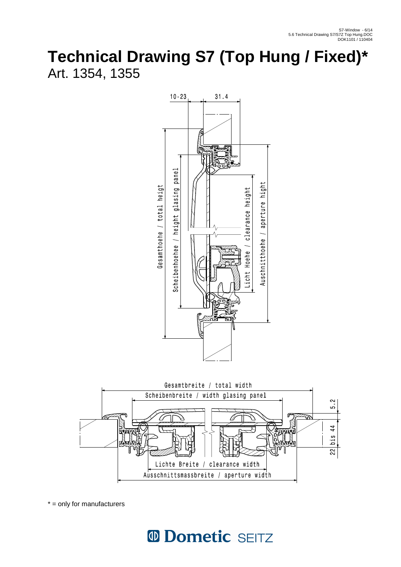### **Technical Drawing S7 (Top Hung / Fixed)\***  Art. 1354, 1355





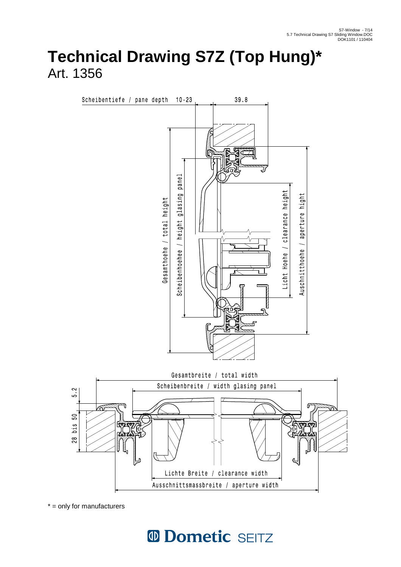#### **Technical Drawing S7Z (Top Hung)\***  Art. 1356



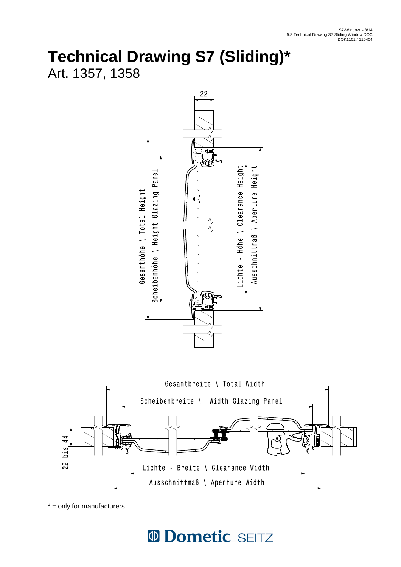# **Technical Drawing S7 (Sliding)\***

Art. 1357, 1358





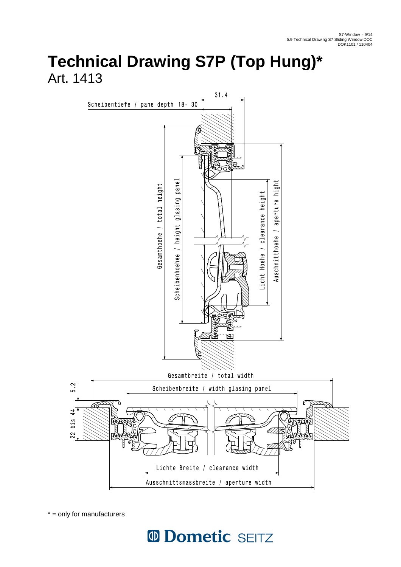### **Technical Drawing S7P (Top Hung)\***  Art. 1413



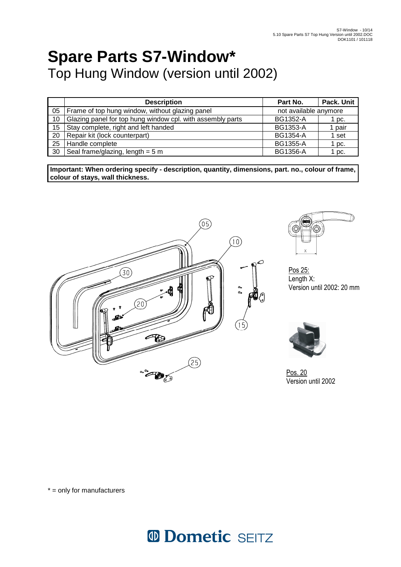## **Spare Parts S7-Window\***  Top Hung Window (version until 2002)

|    | <b>Description</b>                                         | Part No.              | Pack. Unit |
|----|------------------------------------------------------------|-----------------------|------------|
| 05 | Frame of top hung window, without glazing panel            | not available anymore |            |
| 10 | Glazing panel for top hung window cpl. with assembly parts | <b>BG1352-A</b>       | 1 pc.      |
| 15 | Stay complete, right and left handed                       | <b>BG1353-A</b>       | l pair     |
| 20 | Repair kit (lock counterpart)                              | <b>BG1354-A</b>       | 1 set      |
| 25 | Handle complete                                            | <b>BG1355-A</b>       | $1$ pc.    |
| 30 | Seal frame/glazing, length = $5 m$                         | <b>BG1356-A</b>       | 1 pc.      |

**Important: When ordering specify - description, quantity, dimensions, part. no., colour of frame, colour of stays, wall thickness.**  ֧֞֝֬֝֬֝֬֝֬֝֬֝֬





Pos 25: Length X: Version until 2002: 20 mm



Version until 2002

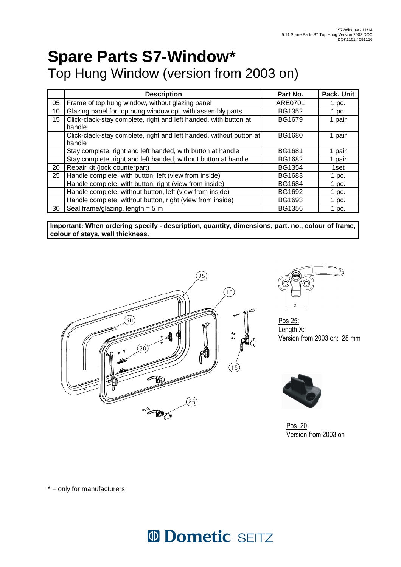### **Spare Parts S7-Window\***  Top Hung Window (version from 2003 on)

|    | <b>Description</b>                                                  | Part No.      | Pack. Unit |
|----|---------------------------------------------------------------------|---------------|------------|
| 05 | Frame of top hung window, without glazing panel                     | ARE0701       | 1 pc.      |
| 10 | Glazing panel for top hung window cpl. with assembly parts          | <b>BG1352</b> | 1 pc.      |
| 15 | Click-clack-stay complete, right and left handed, with button at    | <b>BG1679</b> | 1 pair     |
|    | handle                                                              |               |            |
|    | Click-clack-stay complete, right and left handed, without button at | BG1680        | 1 pair     |
|    | handle                                                              |               |            |
|    | Stay complete, right and left handed, with button at handle         | <b>BG1681</b> | 1 pair     |
|    | Stay complete, right and left handed, without button at handle      | <b>BG1682</b> | 1 pair     |
| 20 | Repair kit (lock counterpart)                                       | <b>BG1354</b> | 1set       |
| 25 | Handle complete, with button, left (view from inside)               | <b>BG1683</b> | 1 pc.      |
|    | Handle complete, with button, right (view from inside)              | <b>BG1684</b> | 1 pc.      |
|    | Handle complete, without button, left (view from inside)            | <b>BG1692</b> | 1 pc.      |
|    | Handle complete, without button, right (view from inside)           | <b>BG1693</b> | 1 pc.      |
| 30 | Seal frame/glazing, length = $5 m$                                  | <b>BG1356</b> | 1 pc.      |

**Important: When ordering specify - description, quantity, dimensions, part. no., colour of frame, colour of stays, wall thickness.**  j





Pos 25: Length X: Version from 2003 on: 28 mm



Pos. 20 Version from 2003 on

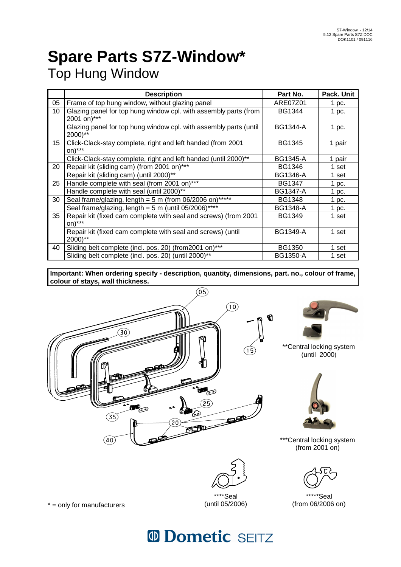# **Spare Parts S7Z-Window\***

Top Hung Window

|    | <b>Description</b>                                                              | Part No.        | Pack. Unit |
|----|---------------------------------------------------------------------------------|-----------------|------------|
| 05 | Frame of top hung window, without glazing panel                                 | ARE07Z01        | 1 pc.      |
| 10 | Glazing panel for top hung window cpl. with assembly parts (from<br>2001 on)*** | <b>BG1344</b>   | 1 pc.      |
|    | Glazing panel for top hung window cpl. with assembly parts (until<br>2000)**    | <b>BG1344-A</b> | 1 pc.      |
| 15 | Click-Clack-stay complete, right and left handed (from 2001<br>on)***           | <b>BG1345</b>   | 1 pair     |
|    | Click-Clack-stay complete, right and left handed (until 2000)**                 | <b>BG1345-A</b> | 1 pair     |
| 20 | Repair kit (sliding cam) (from 2001 on)***                                      | <b>BG1346</b>   | 1 set      |
|    | Repair kit (sliding cam) (until 2000)**                                         | <b>BG1346-A</b> | 1 set      |
| 25 | Handle complete with seal (from 2001 on)***                                     | <b>BG1347</b>   | 1~pc.      |
|    | Handle complete with seal (until 2000)**                                        | <b>BG1347-A</b> | 1 pc.      |
| 30 | Seal frame/glazing, length = $5 \text{ m}$ (from 06/2006 on)*****               | <b>BG1348</b>   | 1 pc.      |
|    | Seal frame/glazing, length = $5 \text{ m}$ (until 05/2006)****                  | <b>BG1348-A</b> | 1 pc.      |
| 35 | Repair kit (fixed cam complete with seal and screws) (from 2001<br>on)***       | <b>BG1349</b>   | 1 set      |
|    | Repair kit (fixed cam complete with seal and screws) (until<br>2000)**          | <b>BG1349-A</b> | 1 set      |
| 40 | Sliding belt complete (incl. pos. 20) (from 2001 on)***                         | <b>BG1350</b>   | 1 set      |
|    | Sliding belt complete (incl. pos. 20) (until 2000)**                            | <b>BG1350-A</b> | 1 set      |

**Important: When ordering specify - description, quantity, dimensions, part. no., colour of frame, colour of stays, wall thickness.** 





\*\*Central locking system (until 2000)



\*\*\*Central locking system (from 2001 on)



\*\*\*\*\*Seal (from 06/2006 on)

 $* =$  only for manufacturers

## <sup>10</sup> Dometic SEITZ

\*\*\*\*Seal (until 05/2006)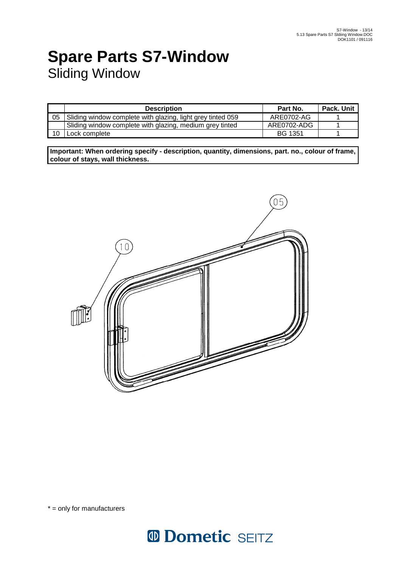### **Spare Parts S7-Window**  Sliding Window

|    | <b>Description</b>                                          | Part No.       | Pack. Unit |
|----|-------------------------------------------------------------|----------------|------------|
| 05 | Sliding window complete with glazing, light grey tinted 059 | ARE0702-AG     |            |
|    | Sliding window complete with glazing, medium grey tinted    | ARE0702-ADG    |            |
| 10 | Lock complete                                               | <b>BG 1351</b> |            |

**Important: When ordering specify - description, quantity, dimensions, part. no., colour of frame, colour of stays, wall thickness.**